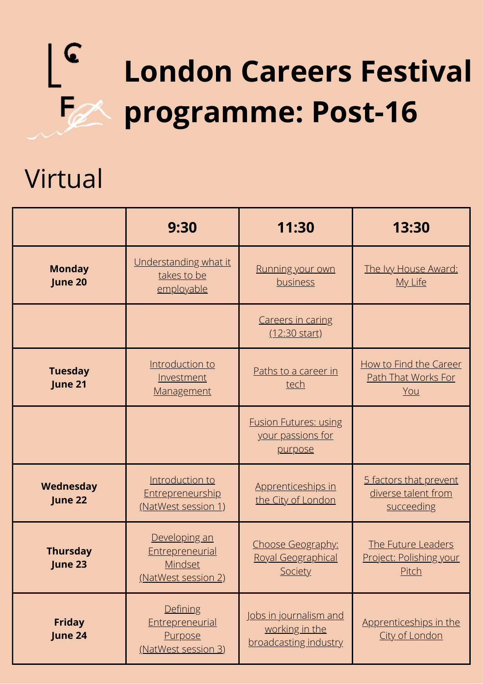

## Virtual

|                            | 9:30                                                                      | 11:30                                                                    | 13:30                                                         |
|----------------------------|---------------------------------------------------------------------------|--------------------------------------------------------------------------|---------------------------------------------------------------|
| <b>Monday</b><br>June 20   | Understanding what it<br>takes to be<br>employable                        | Running your own<br>business                                             | The Ivy House Award:<br>My Life                               |
|                            |                                                                           | <b>Careers in caring</b><br>(12:30 start)                                |                                                               |
| <b>Tuesday</b><br>June 21  | Introduction to<br>Investment<br>Management                               | Paths to a career in<br>tech                                             | How to Find the Career<br>Path That Works For<br>You          |
|                            |                                                                           | <b>Fusion Futures: using</b><br>your passions for<br>purpose             |                                                               |
| Wednesday<br>June 22       | Introduction to<br>Entrepreneurship<br>(NatWest session 1)                | Apprenticeships in<br>the City of London                                 | 5 factors that prevent<br>diverse talent from<br>succeeding   |
| <b>Thursday</b><br>June 23 | Developing an<br>Entrepreneurial<br><b>Mindset</b><br>(NatWest session 2) | Choose Geography:<br>Royal Geographical<br>Society                       | The Future Leaders<br>Project: Polishing your<br><u>Pitch</u> |
| <b>Friday</b><br>June 24   | Defining<br>Entrepreneurial<br><b>Purpose</b><br>(NatWest session 3)      | <u>Jobs in journalism and</u><br>working in the<br>broadcasting industry | Apprenticeships in the<br>City of London                      |